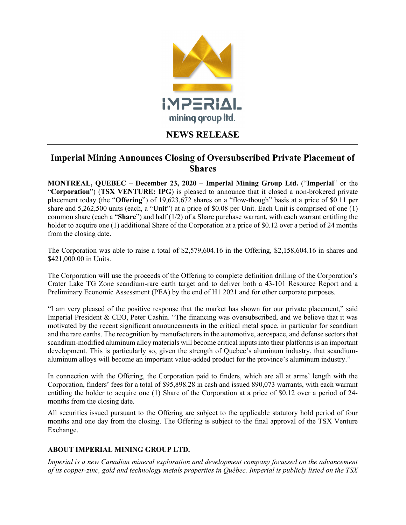

## NEWS RELEASE

## Imperial Mining Announces Closing of Oversubscribed Private Placement of **Shares**

MONTREAL, OUEBEC – December 23,  $2020$  – Imperial Mining Group Ltd. ("Imperial" or the "Corporation") (TSX VENTURE: IPG) is pleased to announce that it closed a non-brokered private placement today (the "Offering") of 19,623,672 shares on a "flow-though" basis at a price of \$0.11 per share and  $5,262,500$  units (each, a "Unit") at a price of \$0.08 per Unit. Each Unit is comprised of one (1) common share (each a "Share") and half (1/2) of a Share purchase warrant, with each warrant entitling the holder to acquire one (1) additional Share of the Corporation at a price of \$0.12 over a period of 24 months from the closing date.

The Corporation was able to raise a total of \$2,579,604.16 in the Offering, \$2,158,604.16 in shares and \$421,000.00 in Units.

The Corporation will use the proceeds of the Offering to complete definition drilling of the Corporation's Crater Lake TG Zone scandium-rare earth target and to deliver both a 43-101 Resource Report and a Preliminary Economic Assessment (PEA) by the end of H1 2021 and for other corporate purposes.

"I am very pleased of the positive response that the market has shown for our private placement," said Imperial President & CEO, Peter Cashin. "The financing was oversubscribed, and we believe that it was motivated by the recent significant announcements in the critical metal space, in particular for scandium and the rare earths. The recognition by manufacturers in the automotive, aerospace, and defense sectors that scandium-modified aluminum alloy materials will become critical inputs into their platforms is an important development. This is particularly so, given the strength of Quebec's aluminum industry, that scandiumaluminum alloys will become an important value-added product for the province's aluminum industry."

In connection with the Offering, the Corporation paid to finders, which are all at arms' length with the Corporation, finders' fees for a total of \$95,898.28 in cash and issued 890,073 warrants, with each warrant entitling the holder to acquire one (1) Share of the Corporation at a price of \$0.12 over a period of 24 months from the closing date.

All securities issued pursuant to the Offering are subject to the applicable statutory hold period of four months and one day from the closing. The Offering is subject to the final approval of the TSX Venture Exchange.

## ABOUT IMPERIAL MINING GROUP LTD.

Imperial is a new Canadian mineral exploration and development company focussed on the advancement of its copper-zinc, gold and technology metals properties in Québec. Imperial is publicly listed on the TSX